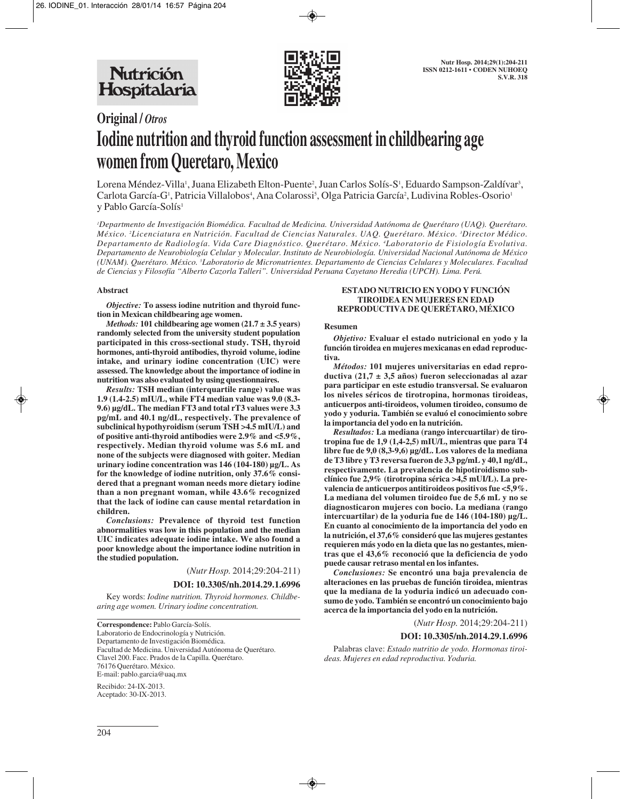

# **Original /** *Otros* **Iodine nutrition and thyroid function assessment in childbearing age women from Queretaro, Mexico**

Lorena Méndez-Villa', Juana Elizabeth Elton-Puente<sup>2</sup>, Juan Carlos Solís-S', Eduardo Sampson-Zaldívar<sup>3</sup>, Carlota García-G', Patricia Villalobos<sup>4</sup>, Ana Colarossi<sup>5</sup>, Olga Patricia García<sup>2</sup>, Ludivina Robles-Osorio<sup>1</sup> y Pablo García-Solís<sup>1</sup>

*1 Departmento de Investigación Biomédica. Facultad de Medicina. Universidad Autónoma de Querétaro (UAQ). Querétaro. México. 2 Licenciatura en Nutrición. Facultad de Ciencias Naturales. UAQ. Querétaro. México. 3 Director Médico. Departamento de Radiología. Vida Care Diagnóstico. Querétaro. México. 4 Laboratorio de Fisiología Evolutiva. Departamento de Neurobiología Celular y Molecular. Instituto de Neurobiología. Universidad Nacional Autónoma de México (UNAM). Querétaro. México. 5 Laboratorio de Micronutrientes. Departamento de Ciencias Celulares y Moleculares. Facultad de Ciencias y Filosofía "Alberto Cazorla Talleri". Universidad Peruana Cayetano Heredia (UPCH). Lima. Perú.*

### **Abstract**

*Objective:* **To assess iodine nutrition and thyroid function in Mexican childbearing age women.** 

*Methods:* **101 childbearing age women (21.7 ± 3.5 years) randomly selected from the university student population participated in this cross-sectional study. TSH, thyroid hormones, anti-thyroid antibodies, thyroid volume, iodine intake, and urinary iodine concentration (UIC) were assessed. The knowledge about the importance of iodine in nutrition was also evaluated by using questionnaires.** 

*Results:* **TSH median (interquartile range) value was 1.9 (1.4-2.5) mIU/L, while FT4 median value was 9.0 (8.3- 9.6) µg/dL. The median FT3 and total rT3 values were 3.3 pg/mL and 40.1 ng/dL, respectively. The prevalence of subclinical hypothyroidism (serum TSH >4.5 mIU/L) and of positive anti-thyroid antibodies were 2.9% and <5.9%, respectively. Median thyroid volume was 5.6 mL and none of the subjects were diagnosed with goiter. Median urinary iodine concentration was 146 (104-180) µg/L. As for the knowledge of iodine nutrition, only 37.6% considered that a pregnant woman needs more dietary iodine than a non pregnant woman, while 43.6% recognized that the lack of iodine can cause mental retardation in children.** 

*Conclusions:* **Prevalence of thyroid test function abnormalities was low in this population and the median UIC indicates adequate iodine intake. We also found a poor knowledge about the importance iodine nutrition in the studied population.**

(*Nutr Hosp.* 2014;29:204-211)

## **DOI: 10.3305/nh.2014.29.1.6996**

Key words: *Iodine nutrition. Thyroid hormones. Childbearing age women. Urinary iodine concentration.*

**Correspondence:** Pablo García-Solís. Laboratorio de Endocrinología y Nutrición. Departamento de Investigación Biomédica. Facultad de Medicina. Universidad Autónoma de Querétaro. Clavel 200. Facc. Prados de la Capilla. Querétaro. 76176 Querétaro. México. E-mail: pablo.garcia@uaq.mx

Recibido: 24-IX-2013. Aceptado: 30-IX-2013.

### **ESTADO NUTRICIO EN YODO Y FUNCIÓN TIROIDEA EN MUJERES EN EDAD REPRODUCTIVA DE QUERÉTARO, MÉXICO**

#### **Resumen**

*Objetivo:* **Evaluar el estado nutricional en yodo y la función tiroidea en mujeres mexicanas en edad reproductiva.** 

*Métodos:* **101 mujeres universitarias en edad reproductiva (21,7 ± 3,5 años) fueron seleccionadas al azar para participar en este estudio transversal. Se evaluaron los niveles séricos de tirotropina, hormonas tiroideas, anticuerpos anti-tiroideos, volumen tiroideo, consumo de yodo y yoduria. También se evaluó el conocimiento sobre la importancia del yodo en la nutrición.**

*Resultados:* **La mediana (rango intercuartilar) de tirotropina fue de 1,9 (1,4-2,5) mIU/L, mientras que para T4 libre fue de 9,0 (8,3-9,6) µg/dL. Los valores de la mediana de T3 libre y T3 reversa fueron de 3,3 pg/mL y 40,1 ng/dL, respectivamente. La prevalencia de hipotiroidismo subclínico fue 2,9% (tirotropina sérica >4,5 mUI/L). La prevalencia de anticuerpos antitiroideos positivos fue <5,9%. La mediana del volumen tiroideo fue de 5,6 mL y no se diagnosticaron mujeres con bocio. La mediana (rango intercuartilar) de la yoduria fue de 146 (104-180) µg/L. En cuanto al conocimiento de la importancia del yodo en la nutrición, el 37,6% consideró que las mujeres gestantes requieren más yodo en la dieta que las no gestantes, mientras que el 43,6% reconoció que la deficiencia de yodo puede causar retraso mental en los infantes.** 

*Conclusiones:* **Se encontró una baja prevalencia de alteraciones en las pruebas de función tiroidea, mientras que la mediana de la yoduria indicó un adecuado consumo de yodo. También se encontró un conocimiento bajo acerca de la importancia del yodo en la nutrición.**

(*Nutr Hosp.* 2014;29:204-211)

#### **DOI: 10.3305/nh.2014.29.1.6996**

Palabras clave: *Estado nutritio de yodo. Hormonas tiroideas. Mujeres en edad reproductiva. Yoduria.*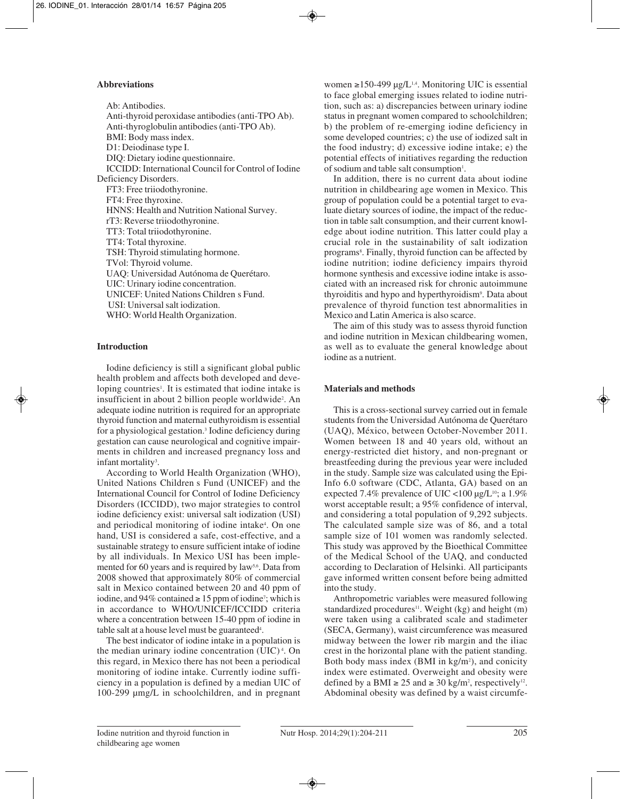# **Abbreviations**

Ab: Antibodies. Anti-thyroid peroxidase antibodies (anti-TPO Ab). Anti-thyroglobulin antibodies (anti-TPO Ab). BMI: Body mass index. D1: Deiodinase type I. DIQ: Dietary iodine questionnaire. ICCIDD: International Council for Control of Iodine Deficiency Disorders. FT3: Free triiodothyronine. FT4: Free thyroxine. HNNS: Health and Nutrition National Survey. rT3: Reverse triiodothyronine. TT3: Total triiodothyronine. TT4: Total thyroxine. TSH: Thyroid stimulating hormone. TVol: Thyroid volume. UAQ: Universidad Autónoma de Querétaro. UIC: Urinary iodine concentration. UNICEF: United Nations Children s Fund. USI: Universal salt iodization. WHO: World Health Organization.

## **Introduction**

Iodine deficiency is still a significant global public health problem and affects both developed and developing countries<sup>1</sup>. It is estimated that iodine intake is insufficient in about 2 billion people worldwide<sup>2</sup>. An adequate iodine nutrition is required for an appropriate thyroid function and maternal euthyroidism is essential for a physiological gestation.3 Iodine deficiency during gestation can cause neurological and cognitive impairments in children and increased pregnancy loss and infant mortality<sup>3</sup>.

According to World Health Organization (WHO), United Nations Children s Fund (UNICEF) and the International Council for Control of Iodine Deficiency Disorders (ICCIDD), two major strategies to control iodine deficiency exist: universal salt iodization (USI) and periodical monitoring of iodine intake<sup>4</sup>. On one hand, USI is considered a safe, cost-effective, and a sustainable strategy to ensure sufficient intake of iodine by all individuals. In Mexico USI has been implemented for 60 years and is required by law<sup>5,6</sup>. Data from 2008 showed that approximately 80% of commercial salt in Mexico contained between 20 and 40 ppm of iodine, and  $94\%$  contained  $\geq 15$  ppm of iodine<sup>7</sup>; which is in accordance to WHO/UNICEF/ICCIDD criteria where a concentration between 15-40 ppm of iodine in table salt at a house level must be guaranteed<sup>4</sup>.

The best indicator of iodine intake in a population is the median urinary iodine concentration (UIC) <sup>4</sup> . On this regard, in Mexico there has not been a periodical monitoring of iodine intake. Currently iodine sufficiency in a population is defined by a median UIC of 100-299 µmg/L in schoolchildren, and in pregnant women ≥150-499 µg/L<sup>1,4</sup>. Monitoring UIC is essential to face global emerging issues related to iodine nutrition, such as: a) discrepancies between urinary iodine status in pregnant women compared to schoolchildren; b) the problem of re-emerging iodine deficiency in some developed countries; c) the use of iodized salt in the food industry; d) excessive iodine intake; e) the potential effects of initiatives regarding the reduction of sodium and table salt consumption<sup>1</sup>.

In addition, there is no current data about iodine nutrition in childbearing age women in Mexico. This group of population could be a potential target to eva luate dietary sources of iodine, the impact of the reduction in table salt consumption, and their current knowledge about iodine nutrition. This latter could play a crucial role in the sustainability of salt iodization programs<sup>8</sup>. Finally, thyroid function can be affected by iodine nutrition; iodine deficiency impairs thyroid hormone synthesis and excessive iodine intake is associated with an increased risk for chronic autoimmune thyroiditis and hypo and hyperthyroidism<sup>9</sup>. Data about prevalence of thyroid function test abnormalities in Mexico and Latin America is also scarce.

The aim of this study was to assess thyroid function and iodine nutrition in Mexican childbearing women, as well as to evaluate the general knowledge about iodine as a nutrient.

# **Materials and methods**

This is a cross-sectional survey carried out in female students from the Universidad Autónoma de Querétaro (UAQ), México, between October-November 2011. Women between 18 and 40 years old, without an energy-restricted diet history, and non-pregnant or breastfeeding during the previous year were included in the study. Sample size was calculated using the Epi-Info 6.0 software (CDC, Atlanta, GA) based on an expected 7.4% prevalence of UIC <100  $\mu$ g/L<sup>10</sup>; a 1.9% worst acceptable result; a 95% confidence of interval, and considering a total population of 9,292 subjects. The calculated sample size was of 86, and a total sample size of 101 women was randomly selected. This study was approved by the Bioethical Committee of the Medical School of the UAQ, and conducted according to Declaration of Helsinki. All participants gave informed written consent before being admitted into the study.

Anthropometric variables were measured following standardized procedures<sup>11</sup>. Weight (kg) and height (m) were taken using a calibrated scale and stadimeter (SECA, Germany), waist circumference was measured midway between the lower rib margin and the iliac crest in the horizontal plane with the patient standing. Both body mass index  $(BMI \text{ in } kg/m^2)$ , and conicity index were estimated. Overweight and obesity were defined by a BMI  $\ge 25$  and  $\ge 30$  kg/m<sup>2</sup>, respectively<sup>12</sup>. Abdominal obesity was defined by a waist circumfe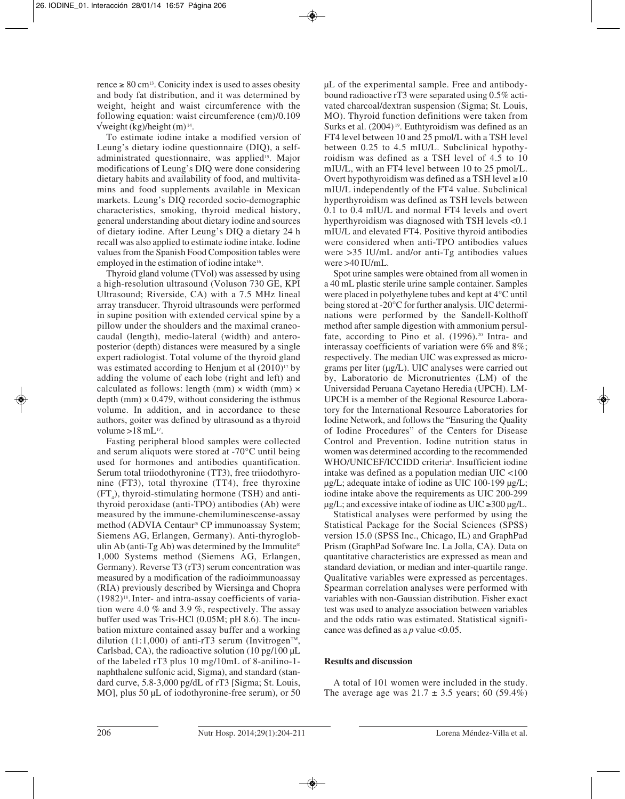rence  $\geq 80$  cm<sup>13</sup>. Conicity index is used to asses obesity and body fat distribution, and it was determined by weight, height and waist circumference with the following equation: waist circumference (cm)/0.109  $\sqrt{\text{weight} (\text{kg})/\text{height} (\text{m})^{14}}$ .

To estimate iodine intake a modified version of Leung's dietary iodine questionnaire (DIQ), a selfadministrated questionnaire, was applied<sup>15</sup>. Major modifications of Leung's DIQ were done considering dietary habits and availability of food, and multivitamins and food supplements available in Mexican markets. Leung's DIQ recorded socio-demographic characteristics, smoking, thyroid medical history, general understanding about dietary iodine and sources of dietary iodine. After Leung's DIQ a dietary 24 h recall was also applied to estimate iodine intake. Iodine values from the Spanish Food Composition tables were employed in the estimation of iodine intake<sup>16</sup>.

Thyroid gland volume (TVol) was assessed by using a high-resolution ultrasound (Voluson 730 GE, KPI Ultrasound; Riverside, CA) with a 7.5 MHz lineal array transducer. Thyroid ultrasounds were performed in supine position with extended cervical spine by a pillow under the shoulders and the maximal craneocaudal (length), medio-lateral (width) and anteroposterior (depth) distances were measured by a single expert radiologist. Total volume of the thyroid gland was estimated according to Henjum et al  $(2010)^{17}$  by adding the volume of each lobe (right and left) and calculated as follows: length (mm)  $\times$  width (mm)  $\times$ depth (mm)  $\times$  0.479, without considering the isthmus volume. In addition, and in accordance to these authors, goiter was defined by ultrasound as a thyroid volume  $>18$  mL<sup>17</sup>.

Fasting peripheral blood samples were collected and serum aliquots were stored at -70°C until being used for hormones and antibodies quantification. Serum total triiodothyronine (TT3), free triiodothyronine (FT3), total thyroxine (TT4), free thyroxine  $(FT<sub>4</sub>)$ , thyroid-stimulating hormone (TSH) and antithyroid peroxidase (anti-TPO) antibodies (Ab) were measured by the immune-chemiluminescense-assay method (ADVIA Centaur® CP immunoassay System; Siemens AG, Erlangen, Germany). Anti-thyroglobulin Ab (anti-Tg Ab) was determined by the Immulite<sup>®</sup> 1,000 Systems method (Siemens AG, Erlangen, Germany). Reverse T3 (rT3) serum concentration was measured by a modification of the radioimmunoassay (RIA) previously described by Wiersinga and Chopra  $(1982)^{18}$ . Inter- and intra-assay coefficients of variation were 4.0 % and 3.9 %, respectively. The assay buffer used was Tris-HCl (0.05M; pH 8.6). The incubation mixture contained assay buffer and a working dilution (1:1,000) of anti-rT3 serum (Invitrogen<sup>TM</sup>, Carlsbad, CA), the radioactive solution (10 pg/100 µL of the labeled rT3 plus 10 mg/10mL of 8-anilino-1 naphthalene sulfonic acid, Sigma), and standard (standard curve, 5.8-3,000 pg/dL of rT3 [Sigma; St. Louis, MO], plus 50 µL of iodothyronine-free serum), or 50

µL of the experimental sample. Free and antibodybound radioactive rT3 were separated using 0.5% activated charcoal/dextran suspension (Sigma; St. Louis, MO). Thyroid function definitions were taken from Surks et al. (2004)<sup>19</sup>. Euthtyroidism was defined as an FT4 level between 10 and 25 pmol/L with a TSH level between 0.25 to 4.5 mIU/L. Subclinical hypothyroidism was defined as a TSH level of 4.5 to 10 mIU/L, with an FT4 level between 10 to 25 pmol/L. Overt hypothyroidism was defined as a TSH level  $\geq 10$ mIU/L independently of the FT4 value. Subclinical hyperthyroidism was defined as TSH levels between 0.1 to 0.4 mIU/L and normal FT4 levels and overt hyperthyroidism was diagnosed with TSH levels <0.1 mIU/L and elevated FT4. Positive thyroid antibodies were considered when anti-TPO antibodies values were >35 IU/mL and/or anti-Tg antibodies values were >40 IU/mL.

Spot urine samples were obtained from all women in a 40 mL plastic sterile urine sample container. Samples were placed in polyethylene tubes and kept at 4°C until being stored at -20°C for further analysis. UIC determinations were performed by the Sandell-Kolthoff method after sample digestion with ammonium persulfate, according to Pino et al. (1996).<sup>20</sup> Intra- and interassay coefficients of variation were 6% and 8%; respectively. The median UIC was expressed as micrograms per liter (µg/L). UIC analyses were carried out by, Laboratorio de Micronutrientes (LM) of the Universidad Peruana Cayetano Heredia (UPCH). LM-UPCH is a member of the Regional Resource Laboratory for the International Resource Laboratories for Iodine Network, and follows the "Ensuring the Quality of Iodine Procedures" of the Centers for Disease Control and Prevention. Iodine nutrition status in women was determined according to the recommended WHO/UNICEF/ICCIDD criteria<sup>4</sup>. Insufficient iodine intake was defined as a population median UIC <100 µg/L; adequate intake of iodine as UIC 100-199 µg/L; iodine intake above the requirements as UIC 200-299  $\mu$ g/L; and excessive intake of iodine as UIC ≥300  $\mu$ g/L.

Statistical analyses were performed by using the Statistical Package for the Social Sciences (SPSS) version 15.0 (SPSS Inc., Chicago, IL) and GraphPad Prism (GraphPad Sofware Inc. La Jolla, CA). Data on quantitative characteristics are expressed as mean and standard deviation, or median and inter-quartile range. Qualitative variables were expressed as percentages. Spearman correlation analyses were performed with variables with non-Gaussian distribution. Fisher exact test was used to analyze association between variables and the odds ratio was estimated. Statistical significance was defined as a *p* value <0.05.

# **Results and discussion**

A total of 101 women were included in the study. The average age was  $21.7 \pm 3.5$  years; 60 (59.4%)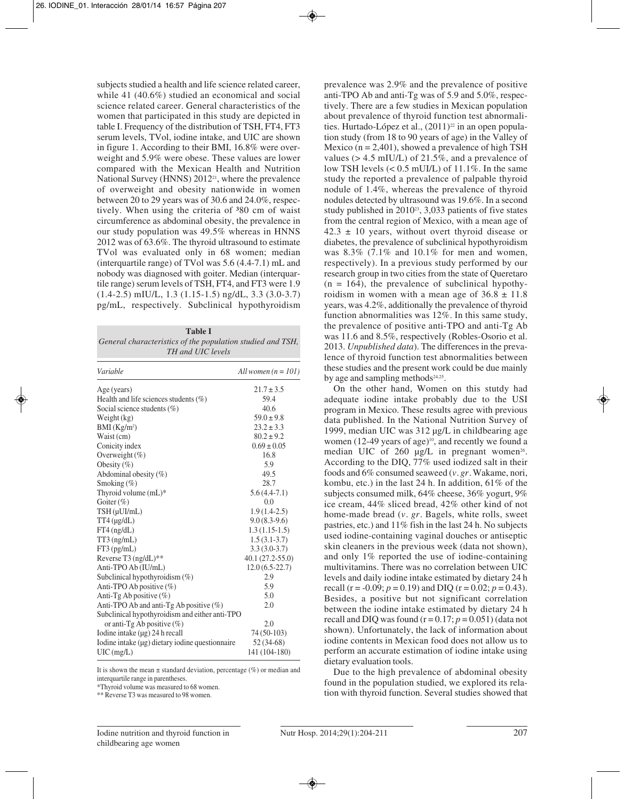subjects studied a health and life science related career, while 41 (40.6%) studied an economical and social science related career. General characteristics of the women that participated in this study are depicted in table I. Frequency of the distribution of TSH, FT4, FT3 serum levels, TVol, iodine intake, and UIC are shown in figure 1. According to their BMI, 16.8% were overweight and 5.9% were obese. These values are lower compared with the Mexican Health and Nutrition National Survey (HNNS) 201221, where the prevalence of overweight and obesity nationwide in women between 20 to 29 years was of 30.6 and 24.0%, respectively. When using the criteria of 380 cm of waist circumference as abdominal obesity, the prevalence in our study population was 49.5% whereas in HNNS 2012 was of 63.6%. The thyroid ultrasound to estimate TVol was evaluated only in 68 women; median (interquartile range) of TVol was 5.6 (4.4-7.1) mL and nobody was diagnosed with goiter. Median (interquartile range) serum levels of TSH, FT4, and FT3 were 1.9 (1.4-2.5) mIU/L, 1.3 (1.15-1.5) ng/dL, 3.3 (3.0-3.7) pg/mL, respectively. Subclinical hypothyroidism

| <b>Table I</b>                                             |
|------------------------------------------------------------|
| General characteristics of the population studied and TSH, |
| TH and UIC levels                                          |

| Variable                                             | All women $(n = 101)$ |
|------------------------------------------------------|-----------------------|
| Age (years)                                          | $21.7 \pm 3.5$        |
| Health and life sciences students $(\% )$            | 59.4                  |
| Social science students $(\%)$                       | 40.6                  |
| Weight (kg)                                          | $59.0 \pm 9.8$        |
| BMI (Kg/m <sup>2</sup> )                             | $23.2 \pm 3.3$        |
| Waist (cm)                                           | $80.2 \pm 9.2$        |
| Conicity index                                       | $0.69 \pm 0.05$       |
| Overweight $(\%)$                                    | 16.8                  |
| Obesity $(\% )$                                      | 5.9                   |
| Abdominal obesity (%)                                | 49.5                  |
| Smoking $(\%)$                                       | 28.7                  |
| Thyroid volume $(mL)^*$                              | $5.6(4.4-7.1)$        |
| Goiter $(\%)$                                        | 0.0                   |
| TSH (µUI/mL)                                         | $1.9(1.4-2.5)$        |
| $TT4$ ( $\mu$ g/dL)                                  | $9.0(8.3-9.6)$        |
| $FT4$ (ng/dL)                                        | $1.3(1.15-1.5)$       |
| $TT3$ (ng/mL)                                        | $1.5(3.1-3.7)$        |
| FT3 (pg/mL)                                          | $3.3(3.0-3.7)$        |
| Reverse T3 (ng/dL)**                                 | $40.1(27.2 - 55.0)$   |
| Anti-TPO Ab (IU/mL)                                  | $12.0(6.5-22.7)$      |
| Subclinical hypothyroidism $(\%)$                    | 2.9                   |
| Anti-TPO Ab positive $(\% )$                         | 5.9                   |
| Anti-Tg Ab positive $(\%)$                           | 5.0                   |
| Anti-TPO Ab and anti-Tg Ab positive (%)              | 2.0                   |
| Subclinical hypothyroidism and either anti-TPO       |                       |
| or anti-Tg Ab positive $(\%)$                        | 2.0                   |
| Iodine intake $(\mu g)$ 24 h recall                  | 74 (50-103)           |
| Iodine intake $(\mu g)$ dietary iodine questionnaire | $52(34-68)$           |
| $UIC$ (mg/L)                                         | 141 (104-180)         |

It is shown the mean  $\pm$  standard deviation, percentage (%) or median and interquartile range in parentheses.

\*Thyroid volume was measured to 68 women.

\*\* Reverse T3 was measured to 98 women.

prevalence was 2.9% and the prevalence of positive anti-TPO Ab and anti-Tg was of 5.9 and 5.0%, respectively. There are a few studies in Mexican population about prevalence of thyroid function test abnormalities. Hurtado-López et al.,  $(2011)^{22}$  in an open population study (from 18 to 90 years of age) in the Valley of Mexico ( $n = 2,401$ ), showed a prevalence of high TSH values (> 4.5 mIU/L) of 21.5%, and a prevalence of low TSH levels  $(< 0.5$  mUI/L) of 11.1%. In the same study the reported a prevalence of palpable thyroid nodule of 1.4%, whereas the prevalence of thyroid nodules detected by ultrasound was 19.6%. In a second study published in 2010<sup>23</sup>, 3,033 patients of five states from the central region of Mexico, with a mean age of  $42.3 \pm 10$  years, without overt thyroid disease or diabetes, the prevalence of subclinical hypothyroidism was 8.3% (7.1% and 10.1% for men and women, respectively). In a previous study performed by our research group in two cities from the state of Queretaro  $(n = 164)$ , the prevalence of subclinical hypothyroidism in women with a mean age of  $36.8 \pm 11.8$ years, was 4.2%, additionally the prevalence of thyroid function abnormalities was 12%. In this same study, the prevalence of positive anti-TPO and anti-Tg Ab was 11.6 and 8.5%, respectively (Robles-Osorio et al. 2013. *Unpublished data*). The differences in the prevalence of thyroid function test abnormalities between these studies and the present work could be due mainly by age and sampling methods<sup>24,25</sup>.

On the other hand, Women on this stutdy had adequate iodine intake probably due to the USI program in Mexico. These results agree with previous data published. In the National Nutrition Survey of 1999, median UIC was 312 µg/L in childbearing age women (12-49 years of age)<sup>10</sup>, and recently we found a median UIC of  $260 \mu g/L$  in pregnant women<sup>26</sup>. According to the DIQ, 77% used iodized salt in their foods and 6% consumed seaweed (*v. gr.* Wakame, nori, kombu, etc.) in the last 24 h. In addition, 61% of the subjects consumed milk, 64% cheese, 36% yogurt, 9% ice cream, 44% sliced bread, 42% other kind of not home-made bread (*v. gr.* Bagels, white rolls, sweet pastries, etc.) and 11% fish in the last 24 h. No subjects used iodine-containing vaginal douches or antiseptic skin cleaners in the previous week (data not shown), and only 1% reported the use of iodine-containing multivitamins. There was no correlation between UIC levels and daily iodine intake estimated by dietary 24 h recall (r = -0.09;  $p = 0.19$ ) and DIQ (r = 0.02;  $p = 0.43$ ). Besides, a positive but not significant correlation between the iodine intake estimated by dietary 24 h recall and DIQ was found  $(r = 0.17; p = 0.051)$  (data not shown). Unfortunately, the lack of information about iodine contents in Mexican food does not allow us to perform an accurate estimation of iodine intake using dietary evaluation tools.

Due to the high prevalence of abdominal obesity found in the population studied, we explored its relation with thyroid function. Several studies showed that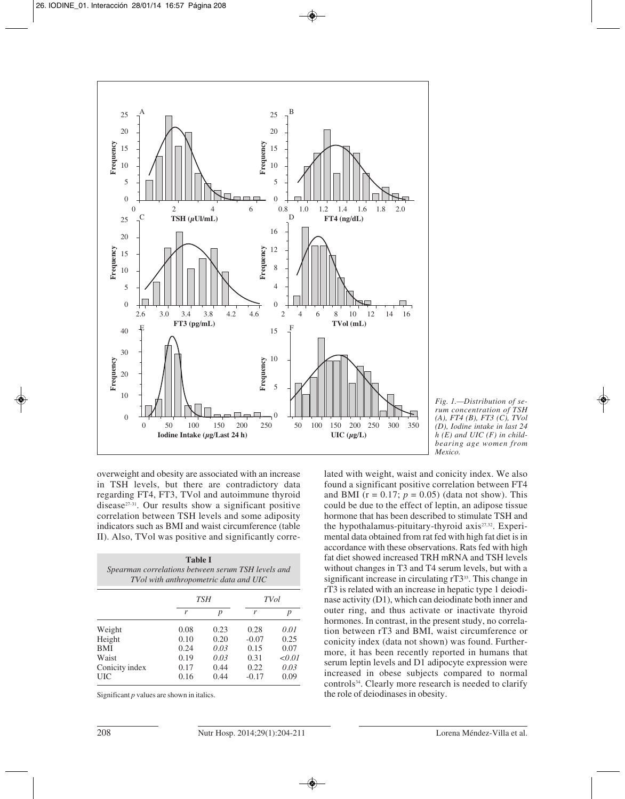



overweight and obesity are associated with an increase in TSH levels, but there are contradictory data regarding FT4, FT3, TVol and autoimmune thyroid disease27-31. Our results show a significant positive correlation between TSH levels and some adiposity indicators such as BMI and waist circumference (table II). Also, TVol was positive and significantly corre-

|      | TSH              |                | <b>TV</b> ol                                                                                |
|------|------------------|----------------|---------------------------------------------------------------------------------------------|
| r    | $\boldsymbol{p}$ | r              | p                                                                                           |
| 0.08 | 0.23             | 0.28           | 0.01                                                                                        |
| 0.10 | 0.20             | $-0.07$        | 0.25                                                                                        |
| 0.24 | 0.03             | 0.15           | 0.07                                                                                        |
| 0.19 | 0.03             | 0.31           | < 0.01                                                                                      |
| 0.17 | 0.44             | 0.22           | 0.03                                                                                        |
|      |                  | <b>Table I</b> | Spearman correlations between serum TSH levels and<br>TVol with anthropometric data and UIC |

UIC 0.16 0.44 -0.17 0.09

Significant *p* values are shown in italics.

lated with weight, waist and conicity index. We also found a significant positive correlation between FT4 and BMI ( $r = 0.17$ ;  $p = 0.05$ ) (data not show). This could be due to the effect of leptin, an adipose tissue *h (E) and UIC (F) in childbearing age women from Mexico.*

hormone that has been described to stimulate TSH and the hypothalamus-pituitary-thyroid axis<sup>27,32</sup>. Experimental data obtained from rat fed with high fat diet is in accordance with these observations. Rats fed with high fat diet showed increased TRH mRNA and TSH levels without changes in T3 and T4 serum levels, but with a significant increase in circulating rT3<sup>33</sup>. This change in rT3 is related with an increase in hepatic type 1 deiodinase activity (D1), which can deiodinate both inner and outer ring, and thus activate or inactivate thyroid hormones. In contrast, in the present study, no correlation between rT3 and BMI, waist circumference or conicity index (data not shown) was found. Furthermore, it has been recently reported in humans that serum leptin levels and D1 adipocyte expression were increased in obese subjects compared to normal controls34. Clearly more research is needed to clarify the role of deiodinases in obesity.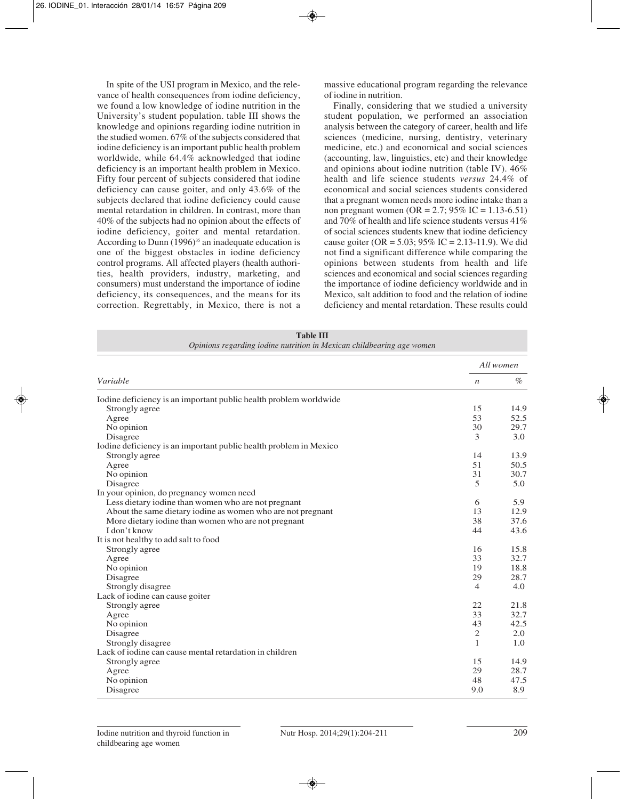In spite of the USI program in Mexico, and the relevance of health consequences from iodine deficiency, we found a low knowledge of iodine nutrition in the University's student population. table III shows the knowledge and opinions regarding iodine nutrition in the studied women. 67% of the subjects considered that iodine deficiency is an important public health problem worldwide, while 64.4% acknowledged that iodine deficiency is an important health problem in Mexico. Fifty four percent of subjects considered that iodine deficiency can cause goiter, and only 43.6% of the subjects declared that iodine deficiency could cause mental retardation in children. In contrast, more than 40% of the subjects had no opinion about the effects of iodine deficiency, goiter and mental retardation. According to Dunn  $(1996)$ <sup>35</sup> an inadequate education is one of the biggest obstacles in iodine deficiency control programs. All affected players (health authorities, health providers, industry, marketing, and consumers) must understand the importance of iodine deficiency, its consequences, and the means for its correction. Regrettably, in Mexico, there is not a massive educational program regarding the relevance of iodine in nutrition.

Finally, considering that we studied a university student population, we performed an association analysis between the category of career, health and life sciences (medicine, nursing, dentistry, veterinary medicine, etc.) and economical and social sciences (accounting, law, linguistics, etc) and their knowledge and opinions about iodine nutrition (table IV). 46% health and life science students *versus* 24.4% of economical and social sciences students considered that a pregnant women needs more iodine intake than a non pregnant women (OR = 2.7; 95% IC = 1.13-6.51) and 70% of health and life science students versus 41% of social sciences students knew that iodine deficiency cause goiter (OR =  $5.03$ ;  $95\%$  IC =  $2.13$ -11.9). We did not find a significant difference while comparing the opinions between students from health and life sciences and economical and social sciences regarding the importance of iodine deficiency worldwide and in Mexico, salt addition to food and the relation of iodine deficiency and mental retardation. These results could

| <b>Table III</b>                                                      |  |
|-----------------------------------------------------------------------|--|
| Opinions regarding iodine nutrition in Mexican childbearing age women |  |

|                                                                   | All women        |      |  |
|-------------------------------------------------------------------|------------------|------|--|
| Variable                                                          | $\boldsymbol{n}$ | $\%$ |  |
| Iodine deficiency is an important public health problem worldwide |                  |      |  |
| Strongly agree                                                    | 15               | 14.9 |  |
| Agree                                                             | 53               | 52.5 |  |
| No opinion                                                        | 30               | 29.7 |  |
| Disagree                                                          | 3                | 3.0  |  |
| Iodine deficiency is an important public health problem in Mexico |                  |      |  |
| Strongly agree                                                    | 14               | 13.9 |  |
| Agree                                                             | 51               | 50.5 |  |
| No opinion                                                        | 31               | 30.7 |  |
| Disagree                                                          | 5                | 5.0  |  |
| In your opinion, do pregnancy women need                          |                  |      |  |
| Less dietary iodine than women who are not pregnant               | 6                | 5.9  |  |
| About the same dietary iodine as women who are not pregnant       | 13               | 12.9 |  |
| More dietary iodine than women who are not pregnant               | 38               | 37.6 |  |
| I don't know                                                      | 44               | 43.6 |  |
| It is not healthy to add salt to food                             |                  |      |  |
| Strongly agree                                                    | 16               | 15.8 |  |
| Agree                                                             | 33               | 32.7 |  |
| No opinion                                                        | 19               | 18.8 |  |
| Disagree                                                          | 29               | 28.7 |  |
| Strongly disagree                                                 | $\overline{4}$   | 4.0  |  |
| Lack of iodine can cause goiter                                   |                  |      |  |
| Strongly agree                                                    | 22               | 21.8 |  |
| Agree                                                             | 33               | 32.7 |  |
| No opinion                                                        | 43               | 42.5 |  |
| Disagree                                                          | $\sqrt{2}$       | 2.0  |  |
| Strongly disagree                                                 | $\mathbf{1}$     | 1.0  |  |
| Lack of iodine can cause mental retardation in children           |                  |      |  |
| Strongly agree                                                    | 15               | 14.9 |  |
| Agree                                                             | 29               | 28.7 |  |
| No opinion                                                        | 48               | 47.5 |  |
| Disagree                                                          | 9.0              | 8.9  |  |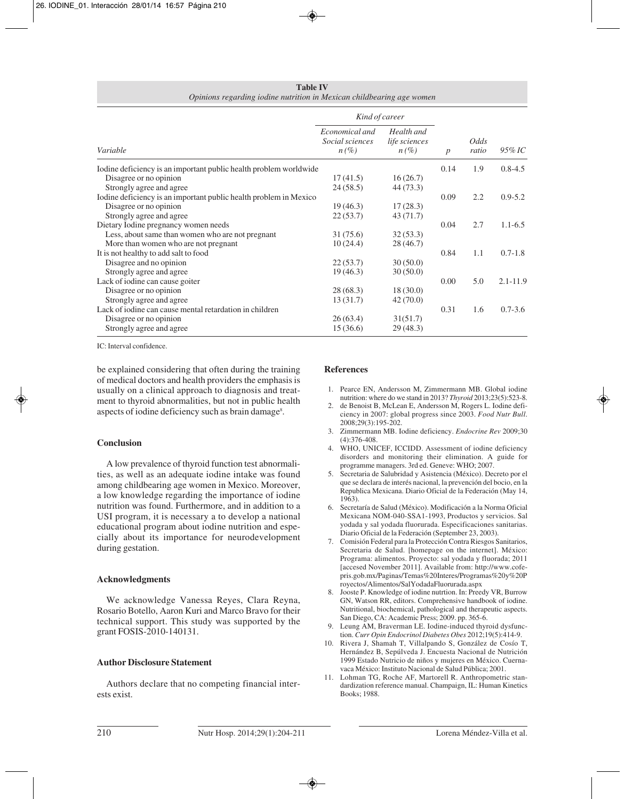| <b>Table IV</b>                                                       |  |  |  |  |
|-----------------------------------------------------------------------|--|--|--|--|
| Opinions regarding iodine nutrition in Mexican childbearing age women |  |  |  |  |

|                                                                   | Kind of career                               |                                        |                  |               |              |
|-------------------------------------------------------------------|----------------------------------------------|----------------------------------------|------------------|---------------|--------------|
| Variable                                                          | Economical and<br>Social sciences<br>$n(\%)$ | Health and<br>life sciences<br>$n(\%)$ | $\boldsymbol{p}$ | Odds<br>ratio | $95\%$ IC    |
| Iodine deficiency is an important public health problem worldwide |                                              |                                        | 0.14             | 1.9           | $0.8 - 4.5$  |
| Disagree or no opinion                                            | 17(41.5)                                     | 16(26.7)                               |                  |               |              |
| Strongly agree and agree                                          | 24(58.5)                                     | 44 (73.3)                              |                  |               |              |
| Iodine deficiency is an important public health problem in Mexico |                                              |                                        | 0.09             | 2.2           | $0.9 - 5.2$  |
| Disagree or no opinion                                            | 19(46.3)                                     | 17(28.3)                               |                  |               |              |
| Strongly agree and agree                                          | 22(53.7)                                     | 43(71.7)                               |                  |               |              |
| Dietary Iodine pregnancy women needs                              |                                              |                                        | 0.04             | 2.7           | $1.1 - 6.5$  |
| Less, about same than women who are not pregnant                  | 31(75.6)                                     | 32(53.3)                               |                  |               |              |
| More than women who are not pregnant                              | 10(24.4)                                     | 28(46.7)                               |                  |               |              |
| It is not healthy to add salt to food                             |                                              |                                        | 0.84             | 1.1           | $0.7 - 1.8$  |
| Disagree and no opinion                                           | 22(53.7)                                     | 30(50.0)                               |                  |               |              |
| Strongly agree and agree                                          | 19(46.3)                                     | 30(50.0)                               |                  |               |              |
| Lack of iodine can cause goiter                                   |                                              |                                        | 0.00             | 5.0           | $2.1 - 11.9$ |
| Disagree or no opinion                                            | 28(68.3)                                     | 18(30.0)                               |                  |               |              |
| Strongly agree and agree                                          | 13(31.7)                                     | 42(70.0)                               |                  |               |              |
| Lack of iodine can cause mental retardation in children           |                                              |                                        | 0.31             | 1.6           | $0.7 - 3.6$  |
| Disagree or no opinion                                            | 26(63.4)                                     | 31(51.7)                               |                  |               |              |
| Strongly agree and agree                                          | 15(36.6)                                     | 29(48.3)                               |                  |               |              |

IC: Interval confidence.

be explained considering that often during the training of medical doctors and health providers the emphasis is usually on a clinical approach to diagnosis and treatment to thyroid abnormalities, but not in public health aspects of iodine deficiency such as brain damage<sup>s</sup>.

# **Conclusion**

A low prevalence of thyroid function test abnormalities, as well as an adequate iodine intake was found among childbearing age women in Mexico. Moreover, a low knowledge regarding the importance of iodine nutrition was found. Furthermore, and in addition to a USI program, it is necessary a to develop a national educational program about iodine nutrition and especially about its importance for neurodevelopment during gestation.

# **Acknowledgments**

We acknowledge Vanessa Reyes, Clara Reyna, Rosario Botello, Aaron Kuri and Marco Bravo for their technical support. This study was supported by the grant FOSIS-2010-140131.

# **Author Disclosure Statement**

Authors declare that no competing financial interests exist.

## **References**

- 1. Pearce EN, Andersson M, Zimmermann MB. Global iodine nutrition: where do we stand in 2013? *Thyroid* 2013;23(5):523-8.
- 2. de Benoist B, McLean E, Andersson M, Rogers L. Iodine deficiency in 2007: global progress since 2003. *Food Nutr Bull*. 2008;29(3):195-202.
- 3. Zimmermann MB. Iodine deficiency. *Endocrine Rev* 2009;30 (4):376-408.
- 4. WHO, UNICEF, ICCIDD. Assessment of iodine deficiency disorders and monitoring their elimination. A guide for programme managers. 3rd ed. Geneve: WHO; 2007.
- 5. Secretaria de Salubridad y Asistencia (México). Decreto por el que se declara de interés nacional, la prevención del bocio, en la Republica Mexicana. Diario Oficial de la Federación (May 14, 1963).
- 6. Secretaría de Salud (México). Modificación a la Norma Oficial Mexicana NOM-040-SSA1-1993, Productos y servicios. Sal yodada y sal yodada fluorurada. Especificaciones sanitarias. Diario Oficial de la Federación (September 23, 2003).
- 7. Comisión Federal para la Protección Contra Riesgos Sanitarios, Secretaria de Salud. [homepage on the internet]. México: Programa: alimentos. Proyecto: sal yodada y fluorada; 2011 [accesed November 2011]. Available from: http://www.cofepris.gob.mx/Paginas/Temas%20Interes/Programas%20y%20P royectos/Alimentos/SalYodadaFluorurada.aspx
- 8. Jooste P. Knowledge of iodine nutrtion. In: Preedy VR, Burrow GN, Watson RR, editors. Comprehensive handbook of iodine. Nutritional, biochemical, pathological and therapeutic aspects. San Diego, CA: Academic Press; 2009. pp. 365-6.
- 9. Leung AM, Braverman LE. Iodine-induced thyroid dysfunction. *Curr Opin Endocrinol Diabetes Obes* 2012;19(5):414-9.
- 10. Rivera J, Shamah T, Villalpando S, González de Cosío T, Hernández B, Sepúlveda J. Encuesta Nacional de Nutrición 1999 Estado Nutricio de niños y mujeres en México. Cuernavaca México: Instituto Nacional de Salud Pública; 2001.
- 11. Lohman TG, Roche AF, Martorell R. Anthropometric standardization reference manual. Champaign, IL: Human Kinetics Books; 1988.